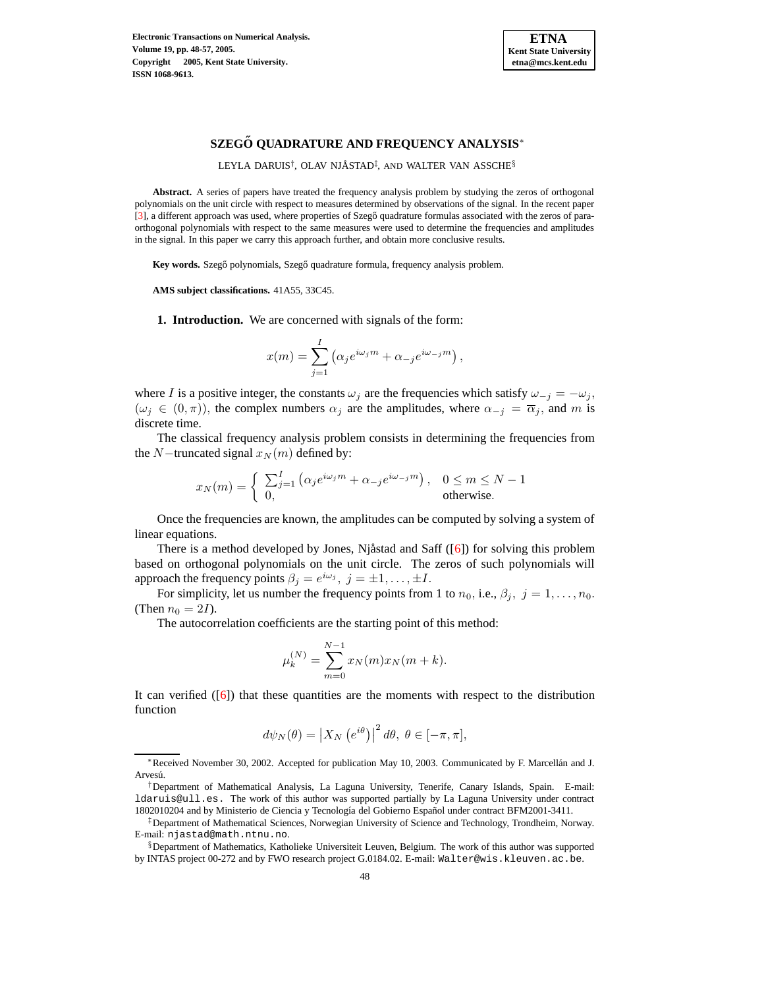

# **SZEGO˝ QUADRATURE AND FREQUENCY ANALYSIS**<sup>∗</sup>

LEYLA DARUIS<sup>†</sup>, OLAV NJÅSTAD<sup>‡</sup>, AND WALTER VAN ASSCHE<sup>§</sup>

**Abstract.** A series of papers have treated the frequency analysis problem by studying the zeros of orthogonal polynomials on the unit circle with respect to measures determined by observations of the signal. In the recent paper [\[3\]](#page-9-0), a different approach was used, where properties of Szegő quadrature formulas associated with the zeros of paraorthogonal polynomials with respect to the same measures were used to determine the frequencies and amplitudes in the signal. In this paper we carry this approach further, and obtain more conclusive results.

**Key** words. Szegő polynomials, Szegő quadrature formula, frequency analysis problem.

**AMS subject classifications.** 41A55, 33C45.

**1. Introduction.** We are concerned with signals of the form:

$$
x(m) = \sum_{j=1}^{I} (\alpha_j e^{i\omega_j m} + \alpha_{-j} e^{i\omega_{-j} m}),
$$

where I is a positive integer, the constants  $\omega_j$  are the frequencies which satisfy  $\omega_{-j} = -\omega_j$ ,  $(\omega_j \in (0,\pi))$ , the complex numbers  $\alpha_j$  are the amplitudes, where  $\alpha_{-j} = \overline{\alpha}_j$ , and m is discrete time.

The classical frequency analysis problem consists in determining the frequencies from the N−truncated signal  $x_N(m)$  defined by:

$$
x_N(m) = \begin{cases} \sum_{j=1}^I \left( \alpha_j e^{i\omega_j m} + \alpha_{-j} e^{i\omega_{-j} m} \right), & 0 \le m \le N - 1 \\ 0, & \text{otherwise.} \end{cases}
$$

Once the frequencies are known, the amplitudes can be computed by solving a system of linear equations.

There is a method developed by Jones, Njåstad and Saff  $([6])$  $([6])$  $([6])$  for solving this problem based on orthogonal polynomials on the unit circle. The zeros of such polynomials will approach the frequency points  $\beta_j = e^{i\omega_j}$ ,  $j = \pm 1, ..., \pm I$ .

For simplicity, let us number the frequency points from 1 to  $n_0$ , i.e.,  $\beta_j$ ,  $j = 1, \ldots, n_0$ . (Then  $n_0 = 2I$ ).

The autocorrelation coefficients are the starting point of this method:

$$
\mu_k^{(N)} = \sum_{m=0}^{N-1} x_N(m) x_N(m+k).
$$

It can verified  $([6])$  $([6])$  $([6])$  that these quantities are the moments with respect to the distribution function

$$
d\psi_N(\theta) = \left| X_N \left( e^{i\theta} \right) \right|^2 d\theta, \ \theta \in [-\pi, \pi],
$$

<sup>∗</sup>Received November 30, 2002. Accepted for publication May 10, 2003. Communicated by F. Marcellan´ and J. Arvesú.

<sup>†</sup>Department of Mathematical Analysis, La Laguna University, Tenerife, Canary Islands, Spain. E-mail: ldaruis@ull.es. The work of this author was supported partially by La Laguna University under contract 1802010204 and by Ministerio de Ciencia y Tecnología del Gobierno Español under contract BFM2001-3411.

<sup>‡</sup>Department of Mathematical Sciences, Norwegian University of Science and Technology, Trondheim, Norway. E-mail: njastad@math.ntnu.no.

<sup>§</sup>Department of Mathematics, Katholieke Universiteit Leuven, Belgium. The work of this author was supported by INTAS project 00-272 and by FWO research project G.0184.02. E-mail: Walter@wis.kleuven.ac.be.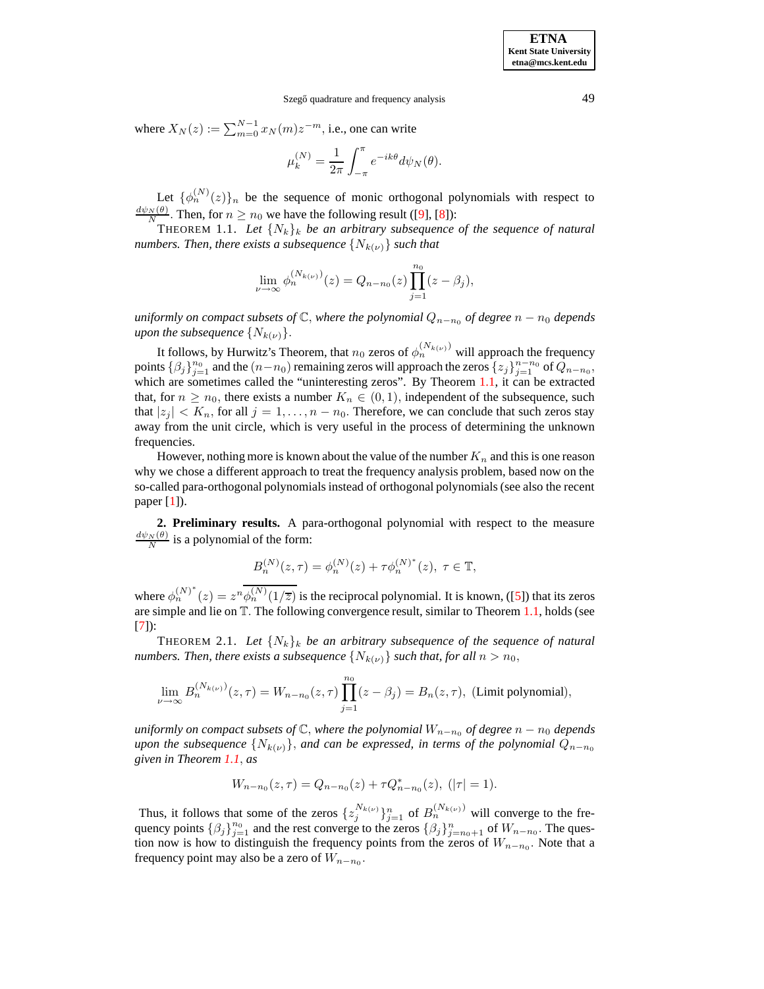where  $X_N(z) := \sum_{m=0}^{N-1} x_N(m) z^{-m}$ , i.e., one can write

<span id="page-1-0"></span>
$$
\mu_k^{(N)} = \frac{1}{2\pi} \int_{-\pi}^{\pi} e^{-ik\theta} d\psi_N(\theta).
$$

Let  $\{\phi_n^{(N)}(z)\}_n$  be the sequence of monic orthogonal polynomials with respect to  $\frac{d\psi_N(\theta)}{N}$ . Then, for  $n \ge n_0$  we have the following result ([\[9\]](#page-9-2), [\[8\]](#page-9-3)):

THEOREM 1.1. Let  $\{N_k\}_k$  be an arbitrary subsequence of the sequence of natural *numbers. Then, there exists a subsequence*  $\{N_{k(\nu)}\}$  *such that* 

$$
\lim_{\nu \to \infty} \phi_n^{(N_{k(\nu)})}(z) = Q_{n-n_0}(z) \prod_{j=1}^{n_0} (z - \beta_j),
$$

*uniformly on compact subsets of*  $\mathbb{C}$ *, where the polynomial*  $Q_{n-n_0}$  *of degree*  $n - n_0$  *depends upon the subsequence*  $\{N_{k(\nu)}\}.$ 

It follows, by Hurwitz's Theorem, that  $n_0$  zeros of  $\phi_n^{(N_{k(\nu)})}$  will approach the frequency points  $\{\beta_j\}_{j=1}^{n_0}$  and the  $(n-n_0)$  remaining zeros will approach the zeros  $\{z_j\}_{j=1}^{n-n_0}$  of  $Q_{n-n_0}$ , which are sometimes called the "uninteresting zeros". By Theorem [1.1,](#page-1-0) it can be extracted that, for  $n \geq n_0$ , there exists a number  $K_n \in (0,1)$ , independent of the subsequence, such that  $|z_j| < K_n$ , for all  $j = 1, \ldots, n - n_0$ . Therefore, we can conclude that such zeros stay away from the unit circle, which is very useful in the process of determining the unknown frequencies.

However, nothing more is known about the value of the number  $K_n$  and this is one reason why we chose a different approach to treat the frequency analysis problem, based now on the so-called para-orthogonal polynomials instead of orthogonal polynomials (see also the recent paper [\[1\]](#page-9-4)).

**2. Preliminary results.** A para-orthogonal polynomial with respect to the measure  $\frac{d\psi_N(\theta)}{N}$  is a polynomial of the form:

$$
B_n^{(N)}(z,\tau) = \phi_n^{(N)}(z) + \tau \phi_n^{(N)^*}(z), \ \tau \in \mathbb{T},
$$

<span id="page-1-1"></span>where  $\phi_n^{(N)^*}(z) = z^n \overline{\phi_n^{(N)}(1/\overline{z})}$  is the reciprocal polynomial. It is known, ([\[5\]](#page-9-5)) that its zeros are simple and lie on T. The following convergence result, similar to Theorem [1.1,](#page-1-0) holds (see [\[7\]](#page-9-6)):

THEOREM 2.1. Let  ${N_k}_k$  be an arbitrary subsequence of the sequence of natural *numbers. Then, there exists a subsequence*  $\{N_{k(\nu)}\}$  *such that, for all*  $n > n_0$ ,

$$
\lim_{\nu \to \infty} B_n^{(N_{k(\nu)})}(z,\tau) = W_{n-n_0}(z,\tau) \prod_{j=1}^{n_0} (z-\beta_j) = B_n(z,\tau), \text{ (Limit polynomial)},
$$

*uniformly on compact subsets of*  $\mathbb{C}$ *, where the polynomial*  $W_{n-n_0}$  *of degree*  $n - n_0$  *depends upon the subsequence*  $\{N_{k(\nu)}\}$ *, and can be expressed, in terms of the polynomial*  $Q_{n-n_0}$ *given in Theorem [1.1](#page-1-0)*, *as*

$$
W_{n-n_0}(z,\tau) = Q_{n-n_0}(z) + \tau Q_{n-n_0}^*(z), \; (|\tau| = 1).
$$

Thus, it follows that some of the zeros  $\{z_j^{N_{k(\nu)}}\}_{j=1}^n$  of  $B_n^{(N_{k(\nu)})}$  will converge to the frequency points  $\{\beta_j\}_{j=1}^{n_0}$  and the rest converge to the zeros  $\{\beta_j\}_{j=n_0+1}^n$  of  $W_{n-n_0}$ . The question now is how to distinguish the frequency points from the zeros of  $W_{n-n_0}$ . Note that a frequency point may also be a zero of  $W_{n-n_0}$ .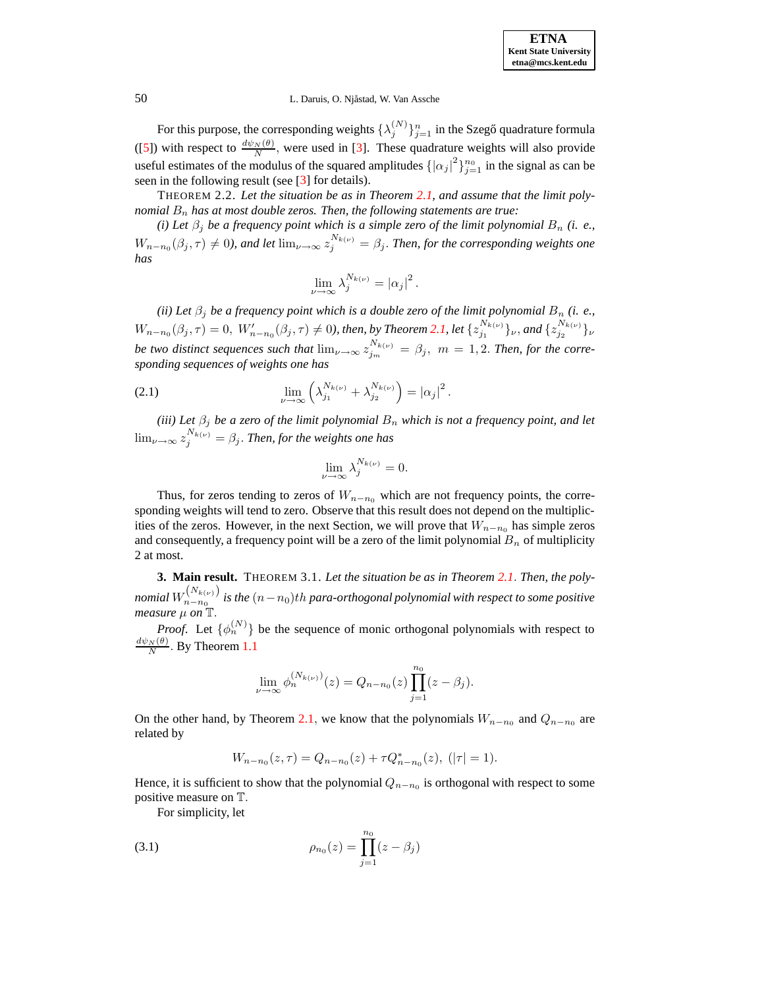### 50 L. Daruis, O. Njåstad, W. Van Assche

For this purpose, the corresponding weights  $\{\lambda_j^{(N)}\}_{j=1}^n$  in the Szegő quadrature formula ([\[5\]](#page-9-5)) with respect to  $\frac{d\psi_N(\theta)}{N}$ , were used in [\[3\]](#page-9-0). These quadrature weights will also provide useful estimates of the modulus of the squared amplitudes  $\{|\alpha_j|^2\}_{j=1}^{n_0}$  in the signal as can be seen in the following result (see  $\lceil 3 \rceil$  for details).

THEOREM 2.2. *Let the situation be as in Theorem [2.1,](#page-1-1) and assume that the limit polynomial*  $B_n$  *has at most double zeros. Then, the following statements are true:* 

*(i)* Let  $\beta_j$  be a frequency point which is a simple zero of the limit polynomial  $B_n$  *(i. e.,*  $W_{n-n_0}(\beta_j, \tau) \neq 0$ , and let  $\lim_{\nu \to \infty} z_j^{N_{k(\nu)}} = \beta_j$ . Then, for the corresponding weights one *has*

$$
\lim_{\nu \to \infty} \lambda_j^{N_{k(\nu)}} = |\alpha_j|^2.
$$

*(ii)* Let  $\beta_i$  be a frequency point which is a double zero of the limit polynomial  $B_n$  *(i. e.,*  $W_{n-n_0}(\beta_j, \tau) = 0$ ,  $W'_{n-n_0}(\beta_j, \tau) \neq 0$ ), then, by Theorem [2.1,](#page-1-1) let  $\{z_{j_1}^{N_{k(\nu)}}\}$  $\{y_{j_1}^{N_{k(\nu)}}\}\nu$ , and  $\{z_{j_2}^{N_{k(\nu)}}\}$  $j_2$   $\qquad$   $\}$ ν *be two distinct sequences such that*  $\lim_{\nu \to \infty} z_{j_m}^{N_{k(\nu)}} = \beta_j$ ,  $m = 1, 2$ . *Then, for the corresponding sequences of weights one has*

<span id="page-2-2"></span>(2.1) 
$$
\lim_{\nu \to \infty} \left( \lambda_{j_1}^{N_{k(\nu)}} + \lambda_{j_2}^{N_{k(\nu)}} \right) = |\alpha_j|^2.
$$

*(iii)* Let  $\beta_j$  be a zero of the limit polynomial  $B_n$  which is not a frequency point, and let  $\lim_{\nu\to\infty}z_j^{N_{k(\nu)}}=\beta_j.$  *Then, for the weights one has* 

$$
\lim_{\nu \to \infty} \lambda_j^{N_{k(\nu)}} = 0.
$$

Thus, for zeros tending to zeros of  $W_{n-n_0}$  which are not frequency points, the corresponding weights will tend to zero. Observe that this result does not depend on the multiplicities of the zeros. However, in the next Section, we will prove that  $W_{n-n_0}$  has simple zeros and consequently, a frequency point will be a zero of the limit polynomial  $B_n$  of multiplicity 2 at most.

<span id="page-2-0"></span>**3. Main result.** THEOREM 3.1. *Let the situation be as in Theorem [2.1](#page-1-1)*. *Then, the polynomial*  $W_{n-n_0}^{(N_{k(\nu)})}$ n−n<sup>0</sup> *is the* (n−n0)th *para-orthogonal polynomial with respect to some positive measure* µ *on* T.

*Proof.* Let  $\{\phi_n^{(N)}\}$  be the sequence of monic orthogonal polynomials with respect to  $\frac{d\psi_N(\theta)}{N}$ . By Theorem [1.1](#page-1-0)

$$
\lim_{\nu \to \infty} \phi_n^{(N_{k(\nu)})}(z) = Q_{n-n_0}(z) \prod_{j=1}^{n_0} (z - \beta_j).
$$

On the other hand, by Theorem [2.1](#page-1-1), we know that the polynomials  $W_{n-n_0}$  and  $Q_{n-n_0}$  are related by

$$
W_{n-n_0}(z,\tau) = Q_{n-n_0}(z) + \tau Q_{n-n_0}^*(z), \; (|\tau| = 1).
$$

Hence, it is sufficient to show that the polynomial  $Q_{n-n_0}$  is orthogonal with respect to some positive measure on T.

<span id="page-2-1"></span>For simplicity, let

(3.1) 
$$
\rho_{n_0}(z) = \prod_{j=1}^{n_0} (z - \beta_j)
$$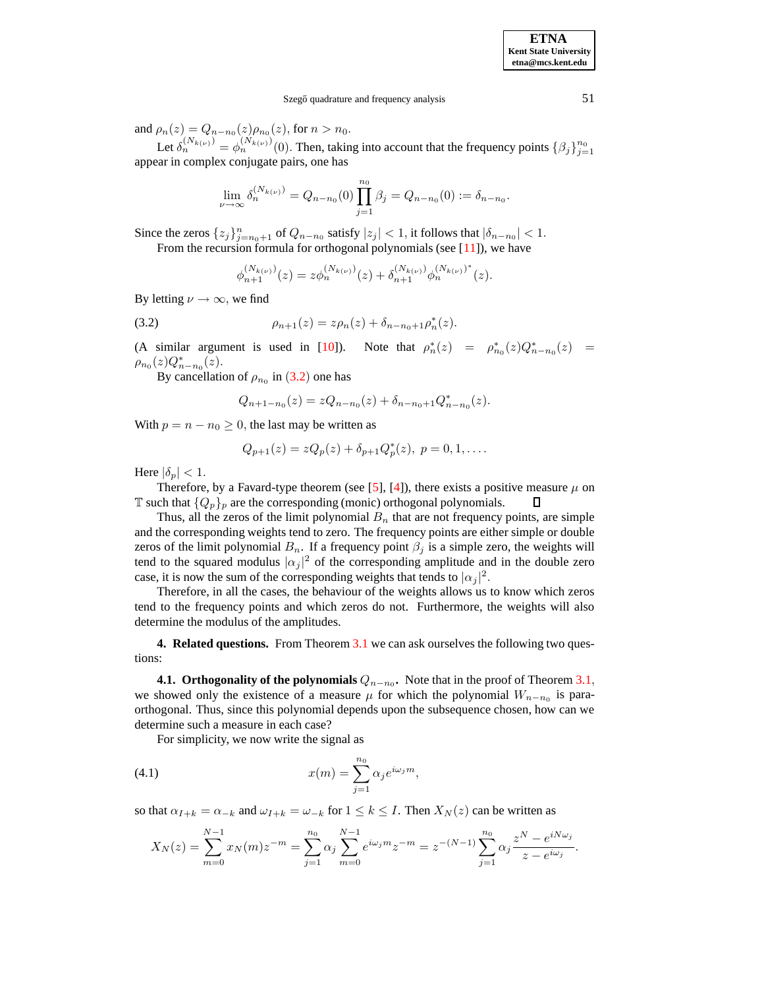and  $\rho_n(z) = Q_{n-n_0}(z) \rho_{n_0}(z)$ , for  $n > n_0$ .

Let  $\delta_n^{(N_{k(\nu)})} = \phi_n^{(N_{k(\nu)})}(0)$ . Then, taking into account that the frequency points  $\{\beta_j\}_{j=1}^{n_0}$ appear in complex conjugate pairs, one has

$$
\lim_{\nu \to \infty} \delta_n^{(N_{k(\nu)})} = Q_{n-n_0}(0) \prod_{j=1}^{n_0} \beta_j = Q_{n-n_0}(0) := \delta_{n-n_0}.
$$

Since the zeros  $\{z_j\}_{j=n_0+1}^n$  of  $Q_{n-n_0}$  satisfy  $|z_j| < 1$ , it follows that  $|\delta_{n-n_0}| < 1$ .

From the recursion formula for orthogonal polynomials (see  $[11]$ ), we have

$$
\phi_{n+1}^{(N_{k(\nu)})}(z) = z \phi_n^{(N_{k(\nu)})}(z) + \delta_{n+1}^{(N_{k(\nu)})} \phi_n^{(N_{k(\nu)})^*}(z).
$$

<span id="page-3-0"></span>By letting  $\nu \rightarrow \infty$ , we find

(3.2) 
$$
\rho_{n+1}(z) = z\rho_n(z) + \delta_{n-n_0+1}\rho_n^*(z).
$$

(A similar argument is used in [\[10\]](#page-9-8)). Note that  $\rho_n^*(z) = \rho_{n_0}^*(z)Q_{n-n_0}^*(z) =$  $\rho_{n_0}(z) Q_{n-n_0}^*(z).$ 

By cancellation of  $\rho_{n_0}$  in ([3.2](#page-3-0)) one has

$$
Q_{n+1-n_0}(z) = zQ_{n-n_0}(z) + \delta_{n-n_0+1}Q_{n-n_0}^*(z).
$$

With  $p = n - n_0 \ge 0$ , the last may be written as

$$
Q_{p+1}(z) = zQ_p(z) + \delta_{p+1}Q_p^*(z), \ p = 0, 1, ....
$$

Here  $|\delta_p|$  < 1.

Therefore, by a Favard-type theorem (see [\[5\]](#page-9-5), [\[4\]](#page-9-9)), there exists a positive measure  $\mu$  on  $\mathbb T$  such that  $\{Q_p\}_p$  are the corresponding (monic) orthogonal polynomials.  $\Box$ 

Thus, all the zeros of the limit polynomial  $B_n$  that are not frequency points, are simple and the corresponding weights tend to zero. The frequency points are either simple or double zeros of the limit polynomial  $B_n$ . If a frequency point  $\beta_j$  is a simple zero, the weights will tend to the squared modulus  $|\alpha_j|^2$  of the corresponding amplitude and in the double zero case, it is now the sum of the corresponding weights that tends to  $|\alpha_j|^2$ .

Therefore, in all the cases, the behaviour of the weights allows us to know which zeros tend to the frequency points and which zeros do not. Furthermore, the weights will also determine the modulus of the amplitudes.

**4. Related questions.** From Theorem [3.1](#page-2-0) we can ask ourselves the following two questions:

**4.1.** Orthogonality of the polynomials  $Q_{n-n_0}$ . Note that in the proof of Theorem [3.1](#page-2-0), we showed only the existence of a measure  $\mu$  for which the polynomial  $W_{n-n_0}$  is paraorthogonal. Thus, since this polynomial depends upon the subsequence chosen, how can we determine such a measure in each case?

For simplicity, we now write the signal as

(4.1) 
$$
x(m) = \sum_{j=1}^{n_0} \alpha_j e^{i\omega_j m},
$$

so that  $\alpha_{I+k} = \alpha_{-k}$  and  $\omega_{I+k} = \omega_{-k}$  for  $1 \le k \le I$ . Then  $X_N(z)$  can be written as

$$
X_N(z) = \sum_{m=0}^{N-1} x_N(m) z^{-m} = \sum_{j=1}^{n_0} \alpha_j \sum_{m=0}^{N-1} e^{i\omega_j m} z^{-m} = z^{-(N-1)} \sum_{j=1}^{n_0} \alpha_j \frac{z^N - e^{iN\omega_j}}{z - e^{i\omega_j}}.
$$

**ETNA Kent State University etna@mcs.kent.edu**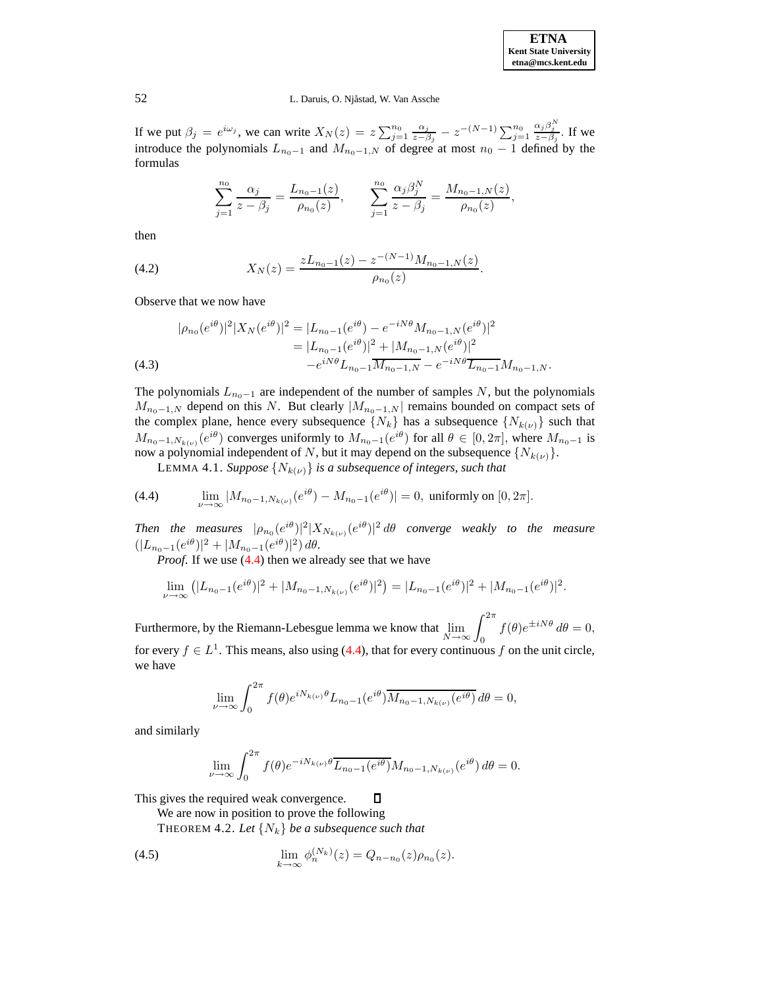

## 52 L. Daruis, O. Njåstad, W. Van Assche

If we put  $\beta_j = e^{i\omega_j}$ , we can write  $X_N(z) = z \sum_{j=1}^{n_0} \frac{\alpha_j}{z - \beta_j}$  $\frac{\alpha_j}{z-\beta_j} - z^{-(N-1)} \sum_{j=1}^{n_0}$  $\frac{\alpha_j \beta_j^N}{z-\beta_j}$ . If we introduce the polynomials  $L_{n_0-1}$  and  $M_{n_0-1,N}$  of degree at most  $n_0 - 1$  defined by the formulas

$$
\sum_{j=1}^{n_0} \frac{\alpha_j}{z - \beta_j} = \frac{L_{n_0 - 1}(z)}{\rho_{n_0}(z)}, \qquad \sum_{j=1}^{n_0} \frac{\alpha_j \beta_j^N}{z - \beta_j} = \frac{M_{n_0 - 1,N}(z)}{\rho_{n_0}(z)},
$$

then

<span id="page-4-1"></span>(4.2) 
$$
X_N(z) = \frac{zL_{n_0-1}(z) - z^{-(N-1)}M_{n_0-1,N}(z)}{\rho_{n_0}(z)}.
$$

Observe that we now have

$$
|\rho_{n_0}(e^{i\theta})|^2|X_N(e^{i\theta})|^2 = |L_{n_0-1}(e^{i\theta}) - e^{-iN\theta}M_{n_0-1,N}(e^{i\theta})|^2
$$
  
=  $|L_{n_0-1}(e^{i\theta})|^2 + |M_{n_0-1,N}(e^{i\theta})|^2$   
 $-e^{iN\theta}L_{n_0-1}\overline{M_{n_0-1,N}} - e^{-iN\theta}\overline{L_{n_0-1}}M_{n_0-1,N}.$   
(4.3)

The polynomials  $L_{n_0-1}$  are independent of the number of samples N, but the polynomials  $M_{n_0-1,N}$  depend on this N. But clearly  $|M_{n_0-1,N}|$  remains bounded on compact sets of the complex plane, hence every subsequence  $\{N_k\}$  has a subsequence  $\{N_{k(\nu)}\}$  such that  $M_{n_0-1,N_{k(\nu)}}(e^{i\theta})$  converges uniformly to  $M_{n_0-1}(e^{i\theta})$  for all  $\theta \in [0,2\pi]$ , where  $M_{n_0-1}$  is now a polynomial independent of N, but it may depend on the subsequence  $\{N_{k(\nu)}\}.$ 

**LEMMA 4.1.** *Suppose*  $\{N_{k(\nu)}\}$  *is a subsequence of integers, such that* 

<span id="page-4-3"></span><span id="page-4-0"></span>(4.4) 
$$
\lim_{\nu \to \infty} |M_{n_0-1,N_{k(\nu)}}(e^{i\theta}) - M_{n_0-1}(e^{i\theta})| = 0, \text{ uniformly on } [0, 2\pi].
$$

*Then the measures*  $|\rho_{n_0}(e^{i\theta})|^2 |X_{N_{k(\nu)}}(e^{i\theta})|^2 d\theta$  converge weakly to the measure  $(|L_{n_0-1}(e^{i\theta})|^2 + |M_{n_0-1}(e^{i\theta})|^2) d\theta.$ 

*Proof.* If we use  $(4.4)$  then we already see that we have

$$
\lim_{\nu \to \infty} (|L_{n_0-1}(e^{i\theta})|^2 + |M_{n_0-1,N_{k(\nu)}}(e^{i\theta})|^2) = |L_{n_0-1}(e^{i\theta})|^2 + |M_{n_0-1}(e^{i\theta})|^2.
$$

Furthermore, by the Riemann-Lebesgue lemma we know that  $\lim_{N \to \infty} \int_0^{2\pi}$  $f(\theta)e^{\pm iN\theta} d\theta = 0,$ for every  $f \in L^1$ . This means, also using [\(4.4\)](#page-4-0), that for every continuous f on the unit circle, we have

$$
\lim_{\nu \to \infty} \int_0^{2\pi} f(\theta) e^{iN_{k(\nu)}\theta} L_{n_0-1}(e^{i\theta}) \overline{M_{n_0-1, N_{k(\nu)}}(e^{i\theta})} d\theta = 0,
$$

and similarly

$$
\lim_{\nu \to \infty} \int_0^{2\pi} f(\theta) e^{-iN_{k(\nu)}\theta} \overline{L_{n_0-1}(e^{i\theta})} M_{n_0-1, N_{k(\nu)}}(e^{i\theta}) d\theta = 0.
$$

 $\overline{\mathsf{u}}$ 

This gives the required weak convergence.

We are now in position to prove the following

<span id="page-4-2"></span>THEOREM 4.2. Let  $\{N_k\}$  be a subsequence such that

(4.5) 
$$
\lim_{k \to \infty} \phi_n^{(N_k)}(z) = Q_{n-n_0}(z) \rho_{n_0}(z).
$$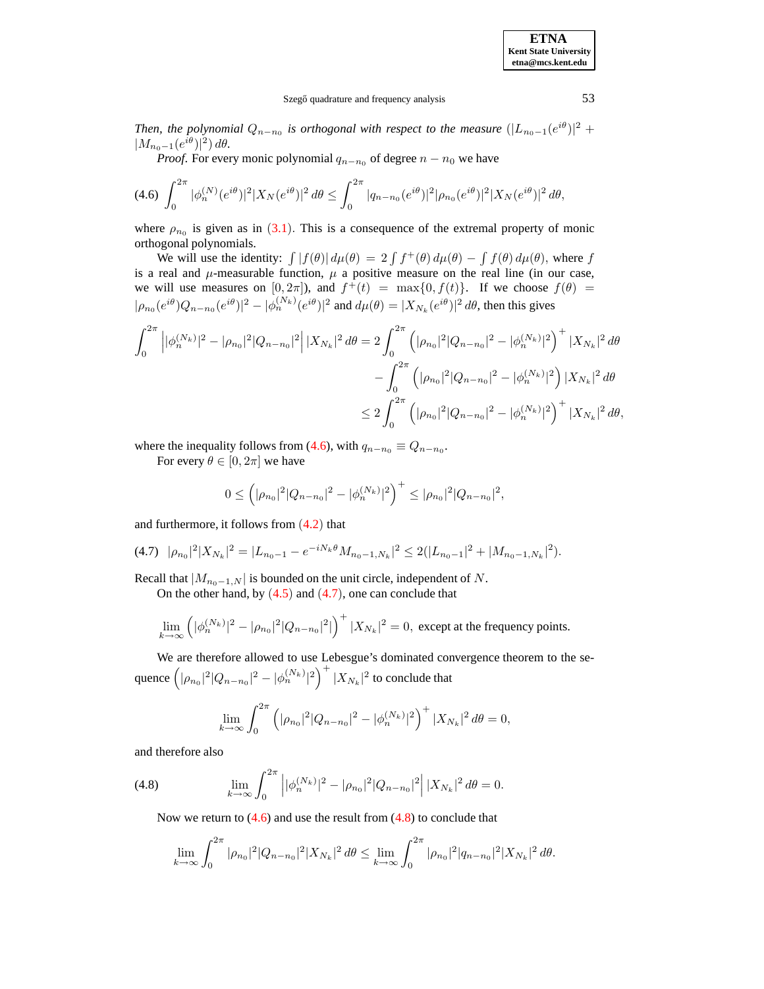#### Szegő quadrature and frequency analysis 53

*Then, the polynomial*  $Q_{n-n_0}$  *is orthogonal with respect to the measure*  $(|L_{n_0-1}(e^{i\theta})|^2 +$  $|M_{n_0-1}(e^{i\theta})|^2) d\theta.$ 

*Proof.* For every monic polynomial  $q_{n-n_0}$  of degree  $n - n_0$  we have

<span id="page-5-0"></span>
$$
(4.6)\ \int_0^{2\pi} |\phi_n^{(N)}(e^{i\theta})|^2 |X_N(e^{i\theta})|^2 d\theta \le \int_0^{2\pi} |q_{n-n_0}(e^{i\theta})|^2 |\rho_{n_0}(e^{i\theta})|^2 |X_N(e^{i\theta})|^2 d\theta,
$$

where  $\rho_{n_0}$  is given as in ([3.1](#page-2-1)). This is a consequence of the extremal property of monic orthogonal polynomials.

We will use the identity:  $\int |f(\theta)| d\mu(\theta) = 2 \int f^{+}(\theta) d\mu(\theta) - \int f(\theta) d\mu(\theta)$ , where f is a real and  $\mu$ -measurable function,  $\mu$  a positive measure on the real line (in our case, we will use measures on  $[0, 2\pi]$ , and  $f^+(t) = \max\{0, f(t)\}$ . If we choose  $f(\theta) =$  $|\rho_{n_0}(e^{i\theta})Q_{n-n_0}(e^{i\theta})|^2 - |\phi_n^{(N_k)}(e^{i\theta})|^2$  and  $d\mu(\theta) = |X_{N_k}(e^{i\theta})|^2 d\theta$ , then this gives

$$
\int_0^{2\pi} \left| |\phi_n^{(N_k)}|^2 - |\rho_{n_0}|^2 |Q_{n-n_0}|^2 \right| |X_{N_k}|^2 d\theta = 2 \int_0^{2\pi} \left( |\rho_{n_0}|^2 |Q_{n-n_0}|^2 - |\phi_n^{(N_k)}|^2 \right)^+ |X_{N_k}|^2 d\theta
$$
  

$$
- \int_0^{2\pi} \left( |\rho_{n_0}|^2 |Q_{n-n_0}|^2 - |\phi_n^{(N_k)}|^2 \right) |X_{N_k}|^2 d\theta
$$
  

$$
\leq 2 \int_0^{2\pi} \left( |\rho_{n_0}|^2 |Q_{n-n_0}|^2 - |\phi_n^{(N_k)}|^2 \right)^+ |X_{N_k}|^2 d\theta,
$$

where the inequality follows from [\(4.6\)](#page-5-0), with  $q_{n-n_0} \equiv Q_{n-n_0}$ .

For every  $\theta \in [0, 2\pi]$  we have

$$
0 \leq \left( |\rho_{n_0}|^2 |Q_{n-n_0}|^2 - |\phi_n^{(N_k)}|^2 \right)^+ \leq |\rho_{n_0}|^2 |Q_{n-n_0}|^2,
$$

<span id="page-5-1"></span>and furthermore, it follows from ([4.2](#page-4-1)) that

$$
(4.7) \quad |\rho_{n_0}|^2 |X_{N_k}|^2 = |L_{n_0-1} - e^{-iN_k \theta} M_{n_0-1,N_k}|^2 \le 2(|L_{n_0-1}|^2 + |M_{n_0-1,N_k}|^2).
$$

Recall that  $|M_{n_0-1,N}|$  is bounded on the unit circle, independent of N.

On the other hand, by  $(4.5)$  $(4.5)$  $(4.5)$  and  $(4.7)$  $(4.7)$  $(4.7)$ , one can conclude that

$$
\lim_{k \to \infty} \left( |\phi_n^{(N_k)}|^2 - |\rho_{n_0}|^2 |Q_{n-n_0}|^2| \right)^+ |X_{N_k}|^2 = 0, \text{ except at the frequency points.}
$$

We are therefore allowed to use Lebesgue's dominated convergence theorem to the sequence  $\left(|\rho_{n_0}|^2|Q_{n-n_0}|^2-|\phi_n^{(N_k)}|^2\right)^+|X_{N_k}|^2$  to conclude that

$$
\lim_{k \to \infty} \int_0^{2\pi} \left( |\rho_{n_0}|^2 |Q_{n-n_0}|^2 - |\phi_n^{(N_k)}|^2 \right)^+ |X_{N_k}|^2 d\theta = 0,
$$

and therefore also

<span id="page-5-2"></span>(4.8) 
$$
\lim_{k \to \infty} \int_0^{2\pi} \left| |\phi_n^{(N_k)}|^2 - |\rho_{n_0}|^2 |Q_{n-n_0}|^2 \right| |X_{N_k}|^2 d\theta = 0.
$$

Now we return to  $(4.6)$  and use the result from  $(4.8)$  to conclude that

$$
\lim_{k\to\infty}\int_0^{2\pi}|\rho_{n_0}|^2|Q_{n-n_0}|^2|X_{N_k}|^2\,d\theta\leq \lim_{k\to\infty}\int_0^{2\pi}|\rho_{n_0}|^2|q_{n-n_0}|^2|X_{N_k}|^2\,d\theta.
$$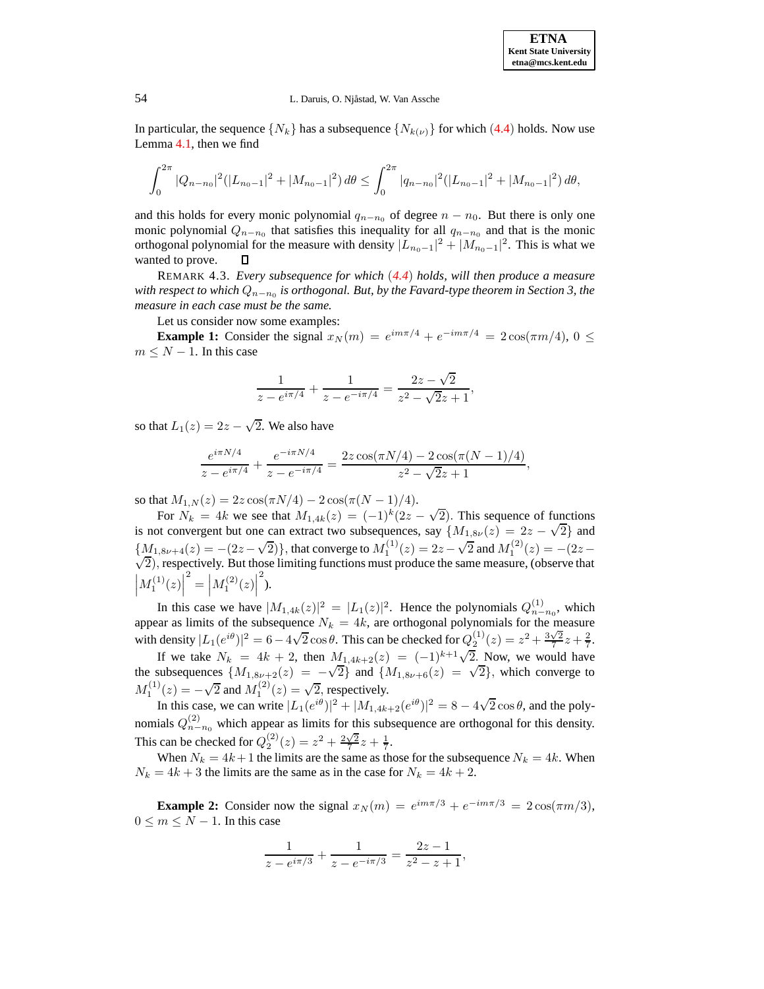**ETNA Kent State University etna@mcs.kent.edu**

#### 54 L. Daruis, O. Njåstad, W. Van Assche

In particular, the sequence  $\{N_k\}$  has a subsequence  $\{N_{k(\nu)}\}$  for which ([4.4](#page-4-0)) holds. Now use Lemma [4.1,](#page-4-3) then we find

$$
\int_0^{2\pi} |Q_{n-n_0}|^2 (|L_{n_0-1}|^2 + |M_{n_0-1}|^2) d\theta \le \int_0^{2\pi} |q_{n-n_0}|^2 (|L_{n_0-1}|^2 + |M_{n_0-1}|^2) d\theta,
$$

and this holds for every monic polynomial  $q_{n-n_0}$  of degree  $n - n_0$ . But there is only one monic polynomial  $Q_{n-n_0}$  that satisfies this inequality for all  $q_{n-n_0}$  and that is the monic orthogonal polynomial for the measure with density  $|L_{n_0-1}|^2 + |M_{n_0-1}|^2$ . This is what we wanted to prove.

REMARK 4.3. *Every subsequence for which* (*[4.4](#page-4-0)*) *holds, will then produce a measure with respect to which* Qn−n<sup>0</sup> *is orthogonal. But, by the Favard-type theorem in Section 3, the measure in each case must be the same.*

Let us consider now some examples:

**Example 1:** Consider the signal  $x_N(m) = e^{im\pi/4} + e^{-im\pi/4} = 2\cos(\pi m/4), 0 \le$  $m \leq N - 1$ . In this case

$$
\frac{1}{z - e^{i\pi/4}} + \frac{1}{z - e^{-i\pi/4}} = \frac{2z - \sqrt{2}}{z^2 - \sqrt{2}z + 1},
$$

so that  $L_1(z) = 2z - \sqrt{2}$ . We also have

$$
\frac{e^{i\pi N/4}}{z - e^{i\pi/4}} + \frac{e^{-i\pi N/4}}{z - e^{-i\pi/4}} = \frac{2z\cos(\pi N/4) - 2\cos(\pi(N-1)/4)}{z^2 - \sqrt{2}z + 1},
$$

so that  $M_{1,N}(z) = 2z \cos(\pi N/4) - 2 \cos(\pi (N-1)/4)$ .

For  $N_k = 4k$  we see that  $M_{1,4k}(z) = (-1)^k (2z - \sqrt{2})$ . This sequence of functions is not convergent but one can extract two subsequences, say  $\{M_{1,8\nu}(z) = 2z - \sqrt{2}\}\$  and  ${M_1, s_{\nu+4}(z) = -(2z-\sqrt{2})}$ , that converge to  $M_1^{(1)}(z) = 2z - \sqrt{2}$  and  $M_1^{(2)}(z) = -(2z-\sqrt{2})$  $(\sqrt{2})$ , respectively. But those limiting functions must produce the same measure, (observe that  $\left|M_{1}^{(1)}(z)\right|$  $\binom{2}{1} = |M_1^{(2)}(z)|$  $\sum_{i=1}^{n}$ 

In this case we have  $|M_{1,4k}(z)|^2 = |L_1(z)|^2$ . Hence the polynomials  $Q_{n-n_0}^{(1)}$ , which appear as limits of the subsequence  $N_k = 4k$ , are orthogonal polynomials for the measure with density  $|L_1(e^{i\theta})|^2 = 6 - 4\sqrt{2}\cos\theta$ . This can be checked for  $Q_2^{(1)}(z) = z^2 + \frac{3\sqrt{2}}{7}z + \frac{2}{7}$ .

If we take  $N_k = 4k + 2$ , then  $M_{1,4k+2}(z) = (-1)^{k+1}\sqrt{2}$ . Now, we would have the subsequences  $\{M_{1,8\nu+2}(z) = -\sqrt{2}\}\$  and  $\{M_{1,8\nu+6}(z) = \sqrt{2}\}\$ , which converge to  $M_1^{(1)}(z) = -\sqrt{2}$  and  $M_1^{(2)}(z) = \sqrt{2}$ , respectively.

In this case, we can write  $|L_1(e^{i\theta})|^2 + |M_{1,4k+2}(e^{i\theta})|^2 = 8 - 4\sqrt{2}\cos\theta$ , and the polynomials  $Q_{n-n_0}^{(2)}$  which appear as limits for this subsequence are orthogonal for this density. This can be checked for  $Q_2^{(2)}(z) = z^2 + \frac{2\sqrt{2}}{7}z + \frac{1}{7}$ .

When  $N_k = 4k+1$  the limits are the same as those for the subsequence  $N_k = 4k$ . When  $N_k = 4k + 3$  the limits are the same as in the case for  $N_k = 4k + 2$ .

**Example 2:** Consider now the signal  $x_N(m) = e^{im\pi/3} + e^{-im\pi/3} = 2\cos(\pi m/3)$ ,  $0 \leq m \leq N-1$ . In this case

$$
\frac{1}{z - e^{i\pi/3}} + \frac{1}{z - e^{-i\pi/3}} = \frac{2z - 1}{z^2 - z + 1},
$$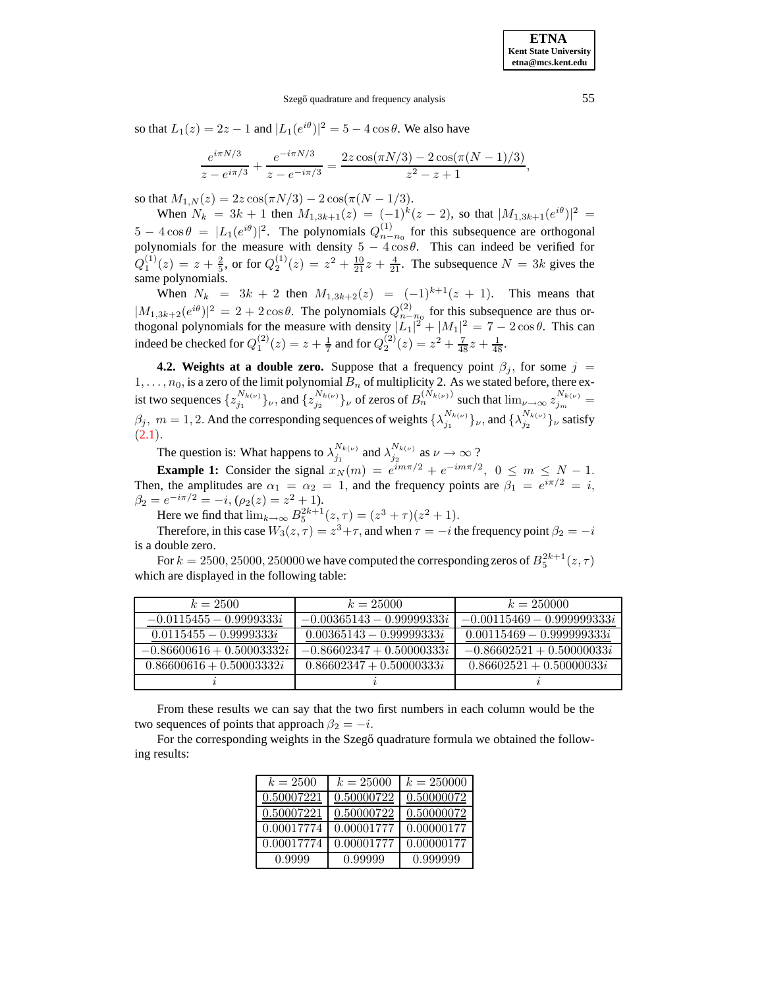Szegő quadrature and frequency analysis 55

so that  $L_1(z) = 2z - 1$  and  $|L_1(e^{i\theta})|^2 = 5 - 4 \cos \theta$ . We also have

$$
\frac{e^{i\pi N/3}}{z - e^{i\pi/3}} + \frac{e^{-i\pi N/3}}{z - e^{-i\pi/3}} = \frac{2z\cos(\pi N/3) - 2\cos(\pi (N-1)/3)}{z^2 - z + 1},
$$

so that  $M_{1,N}(z) = 2z \cos(\pi N/3) - 2 \cos(\pi (N - 1/3))$ .

When  $N_k = 3k + 1$  then  $M_{1,3k+1}(z) = (-1)^k(z-2)$ , so that  $|M_{1,3k+1}(e^{i\theta})|^2 =$  $5 - 4\cos\theta = |L_1(e^{i\theta})|^2$ . The polynomials  $Q_{n-n_0}^{(1)}$  for this subsequence are orthogonal polynomials for the measure with density  $5 - 4 \cos \theta$ . This can indeed be verified for  $Q_1^{(1)}(z) = z + \frac{2}{5}$ , or for  $Q_2^{(1)}(z) = z^2 + \frac{10}{21}z + \frac{4}{21}$ . The subsequence  $N = 3k$  gives the same polynomials.

When  $N_k = 3k + 2$  then  $M_{1,3k+2}(z) = (-1)^{k+1}(z + 1)$ . This means that  $|M_{1,3k+2}(e^{i\theta})|^2 = 2 + 2 \cos \theta$ . The polynomials  $Q_{n-m_0}^{(2)}$  for this subsequence are thus orthogonal polynomials for the measure with density  $|L_1|^2 + |M_1|^2 = 7 - 2\cos\theta$ . This can indeed be checked for  $Q_1^{(2)}(z) = z + \frac{1}{7}$  and for  $Q_2^{(2)}(z) = z^2 + \frac{7}{48}z + \frac{1}{48}z$ .

**4.2. Weights at a double zero.** Suppose that a frequency point  $\beta_j$ , for some  $j =$  $1, \ldots, n_0$ , is a zero of the limit polynomial  $B_n$  of multiplicity 2. As we stated before, there exist two sequences  $\{z_{j_1}^{N_{k(\nu)}}\}$  $\{z_{j_1}^{N_{k(\nu)}}\}\nu$ , and  $\{z_{j_2}^{N_{k(\nu)}}\}$  $\int_{i_2}^{N_{k(\nu)}}$  of zeros of  $B_n^{(N_{k(\nu)})}$  such that  $\lim_{\nu\to\infty}z_{j_m}^{N_{k(\nu)}}=$  $\beta_j$ ,  $m = 1, 2$ . And the corresponding sequences of weights  $\{\lambda_{j_1}^{N_{k(\nu)}}\}$  $_{j_1}^{N_{k(\nu)}}\}_\nu$ , and  $\{\lambda_{j_2}^{N_{k(\nu)}}\}$  $\binom{N_k(\nu)}{j_2}$ <sub>*ν*</sub> satisfy  $(2.1).$  $(2.1).$  $(2.1).$ 

The question is: What happens to  $\lambda_{j_1}^{N_{k(\nu)}}$  $\frac{N_{k(\nu)}}{j_1}$  and  $\lambda_{j_2}^{N_{k(\nu)}}$  $j_2^{N_k(\nu)}$  as  $\nu \to \infty$  ?

**Example 1:** Consider the signal  $x_N(m) = e^{im\pi/2} + e^{-im\pi/2}$ ,  $0 \le m \le N - 1$ . Then, the amplitudes are  $\alpha_1 = \alpha_2 = 1$ , and the frequency points are  $\beta_1 = e^{i\pi/2} = i$ ,  $\beta_2 = e^{-i\pi/2} = -i, \, (\rho_2(z) = z^2 + 1).$ 

Here we find that  $\lim_{k \to \infty} B_5^{2k+1}(z, \tau) = (z^3 + \tau)(z^2 + 1)$ .

Therefore, in this case  $W_3(z,\tau) = z^3 + \tau$ , and when  $\tau = -i$  the frequency point  $\beta_2 = -i$ is a double zero.

For  $k=2500, 25000, 250000$  we have computed the corresponding zeros of  $B_5^{2k+1}(z, \tau)$ which are displayed in the following table:

| $k = 2500$                  | $k = 25000$                 | $k = 250000$                 |
|-----------------------------|-----------------------------|------------------------------|
| $-0.0115455 - 0.9999333i$   | $-0.00365143 - 0.99999333i$ | $-0.00115469 - 0.999999333i$ |
| $0.0115455 - 0.9999333i$    | $0.00365143 - 0.99999333i$  | $0.00115469 - 0.999999333i$  |
| $-0.86600616 + 0.50003332i$ | $-0.86602347 + 0.50000333i$ | $-0.86602521 + 0.50000033i$  |
| $0.86600616 + 0.50003332i$  | $0.86602347 + 0.50000333i$  | $0.86602521 + 0.50000033i$   |
|                             |                             |                              |

From these results we can say that the two first numbers in each column would be the two sequences of points that approach  $\beta_2 = -i$ .

For the corresponding weights in the Szegő quadrature formula we obtained the following results:

| $k = 2500$ | $k = 25000$ | $k = 250000$ |
|------------|-------------|--------------|
| 0.50007221 | 0.50000722  | 0.50000072   |
| 0.50007221 | 0.50000722  | 0.50000072   |
| 0.00017774 | 0.00001777  | 0.00000177   |
| 0.00017774 | 0.00001777  | 0.00000177   |
| 0.9999     | 0.99999     | 0.999999     |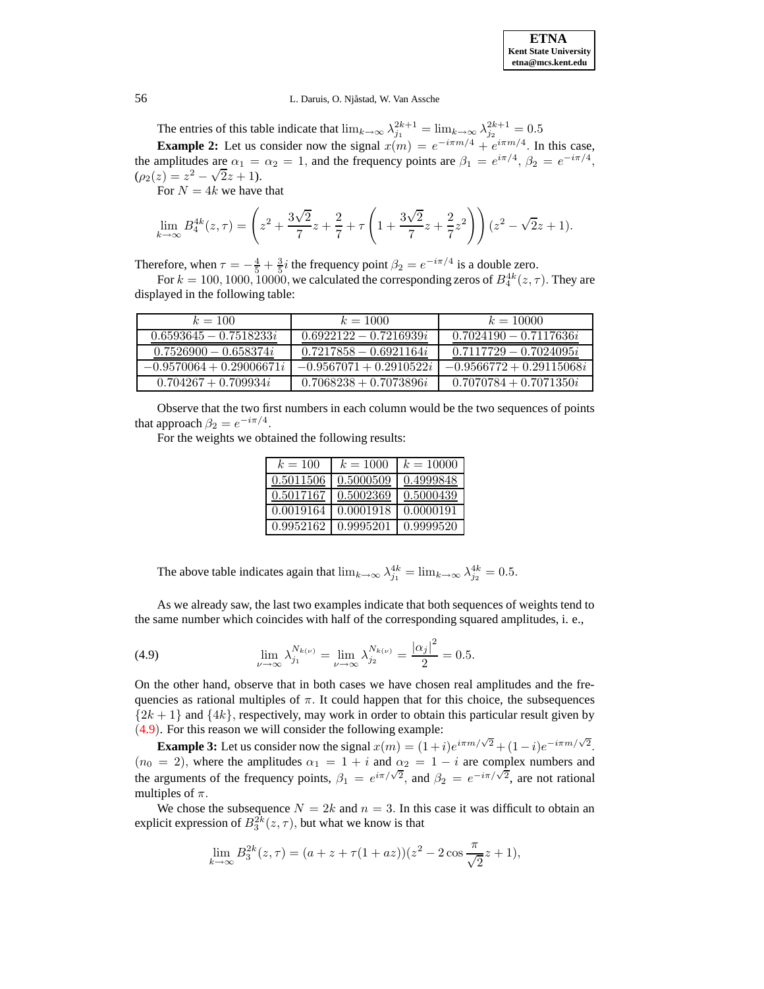### 56 L. Daruis, O. Njåstad, W. Van Assche

The entries of this table indicate that  $\lim_{k\to\infty} \lambda_{j_1}^{2k+1} = \lim_{k\to\infty} \lambda_{j_2}^{2k+1} = 0.5$ **Example 2:** Let us consider now the signal  $x(m) = e^{-i\pi m/4} + e^{i\pi m/4}$ . In this case, the amplitudes are  $\alpha_1 = \alpha_2 = 1$ , and the frequency points are  $\beta_1 = e^{i\pi/4}$ ,  $\beta_2 = e^{-i\pi/4}$ ,  $(\rho_2(z) = z^2 - \sqrt{2}z + 1).$ 

For  $N = 4k$  we have that

$$
\lim_{k \to \infty} B_4^{4k}(z, \tau) = \left(z^2 + \frac{3\sqrt{2}}{7}z + \frac{2}{7} + \tau \left(1 + \frac{3\sqrt{2}}{7}z + \frac{2}{7}z^2\right)\right)(z^2 - \sqrt{2}z + 1).
$$

Therefore, when  $\tau = -\frac{4}{5} + \frac{3}{5}i$  the frequency point  $\beta_2 = e^{-i\pi/4}$  is a double zero.

For  $k=100, 1000, 10000$ , we calculated the corresponding zeros of  $B_4^{4k}(z, \tau)$ . They are displayed in the following table:

| $k = 100$                  | $k = 1000$                | $k = 10000$                |
|----------------------------|---------------------------|----------------------------|
| $0.6593645 - 0.7518233i$   | $0.6922122 - 0.7216939i$  | $0.7024190 - 0.7117636i$   |
| $0.7526900 - 0.658374i$    | $0.7217858 - 0.6921164i$  | $0.7117729 - 0.7024095i$   |
| $-0.9570064 + 0.29006671i$ | $-0.9567071 + 0.2910522i$ | $-0.9566772 + 0.29115068i$ |
| $0.704267 + 0.709934i$     | $0.7068238 + 0.7073896i$  | $0.7070784 + 0.7071350i$   |

Observe that the two first numbers in each column would be the two sequences of points that approach  $\beta_2 = e^{-i\pi/4}$ .

For the weights we obtained the following results:

| $k=100$   | $k = 1000$ | $k = 10000$ |
|-----------|------------|-------------|
| 0.5011506 | 0.5000509  | 0.4999848   |
| 0.5017167 | 0.5002369  | 0.5000439   |
| 0.0019164 | 0.0001918  | 0.0000191   |
| 0.9952162 | 0.9995201  | 0.9999520   |

The above table indicates again that  $\lim_{k\to\infty} \lambda_{j_1}^{4k} = \lim_{k\to\infty} \lambda_{j_2}^{4k} = 0.5$ .

As we already saw, the last two examples indicate that both sequences of weights tend to the same number which coincides with half of the corresponding squared amplitudes, i. e.,

<span id="page-8-0"></span>(4.9) 
$$
\lim_{\nu \to \infty} \lambda_{j_1}^{N_{k(\nu)}} = \lim_{\nu \to \infty} \lambda_{j_2}^{N_{k(\nu)}} = \frac{|\alpha_j|^2}{2} = 0.5.
$$

On the other hand, observe that in both cases we have chosen real amplitudes and the frequencies as rational multiples of  $\pi$ . It could happen that for this choice, the subsequences  $\{2k+1\}$  and  $\{4k\}$ , respectively, may work in order to obtain this particular result given by ([4.9](#page-8-0)). For this reason we will consider the following example:

**Example 3:** Let us consider now the signal  $x(m) = (1+i)e^{i\pi m/\sqrt{2}} + (1-i)e^{-i\pi m/\sqrt{2}}$ .  $(n_0 = 2)$ , where the amplitudes  $\alpha_1 = 1 + i$  and  $\alpha_2 = 1 - i$  are complex numbers and the arguments of the frequency points,  $\beta_1 = e^{i\pi/\sqrt{2}}$ , and  $\beta_2 = e^{-i\pi/\sqrt{2}}$ , are not rational multiples of  $\pi$ .

We chose the subsequence  $N = 2k$  and  $n = 3$ . In this case it was difficult to obtain an explicit expression of  $B_3^{2k}(z, \tau)$ , but what we know is that

$$
\lim_{k \to \infty} B_3^{2k}(z, \tau) = (a + z + \tau (1 + az))(z^2 - 2\cos{\frac{\pi}{\sqrt{2}}}z + 1),
$$